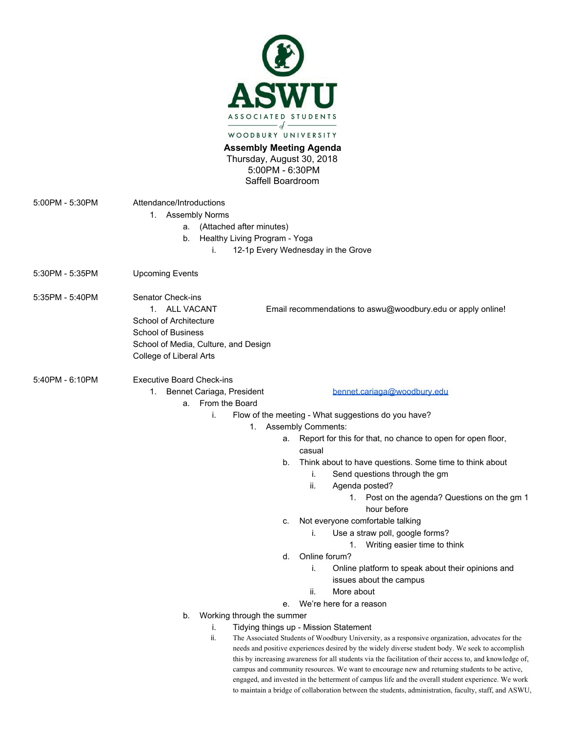

**Assembly Meeting Agenda**  Thursday, August 30, 2018 5:00PM - 6:30PM Saffell Boardroom

5:00PM - 5:30PM Attendance/Introductions 1. Assembly Norms a. (Attached after minutes) b. Healthy Living Program - Yoga i. 12-1p Every Wednesday in the Grove 5:30PM - 5:35PM Upcoming Events 5:35PM - 5:40PM Senator Check-ins 1. ALL VACANT Email recommendations to aswu@woodbury.edu or apply online! School of Architecture School of Business School of Media, Culture, and Design College of Liberal Arts 5:40PM - 6:10PM Executive Board Check-ins 1. Bennet Cariaga, President [bennet.cariaga@woodbury.edu](mailto:bennet.cariaga@woodbury.edu) a. From the Board i. Flow of the meeting - What suggestions do you have? 1. Assembly Comments: a. Report for this for that, no chance to open for open floor, casual b. Think about to have questions. Some time to think about i. Send questions through the gm ii. Agenda posted?

- 1. Post on the agenda? Questions on the gm 1 hour before
- c. Not everyone comfortable talking
	- i. Use a straw poll, google forms?
		- 1. Writing easier time to think
- d. Online forum?
	- i. Online platform to speak about their opinions and issues about the campus
	- ii. More about
- e. We're here for a reason
- b. Working through the summer
	- i. Tidying things up Mission Statement
	- ii. The Associated Students of Woodbury University, as a responsive organization, advocates for the needs and positive experiences desired by the widely diverse student body. We seek to accomplish this by increasing awareness for all students via the facilitation of their access to, and knowledge of, campus and community resources. We want to encourage new and returning students to be active, engaged, and invested in the betterment of campus life and the overall student experience. We work to maintain a bridge of collaboration between the students, administration, faculty, staff, and ASWU,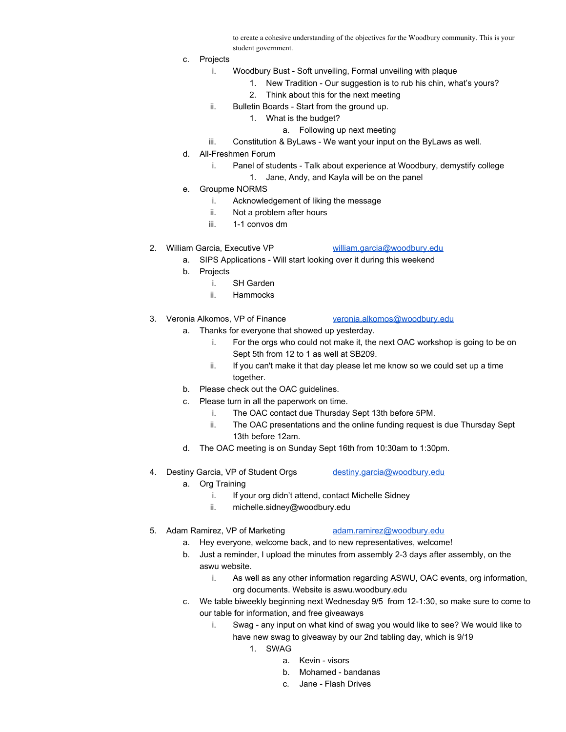to create a cohesive understanding of the objectives for the Woodbury community. This is your student government.

- c. Projects
	- i. Woodbury Bust Soft unveiling, Formal unveiling with plaque
		- 1. New Tradition Our suggestion is to rub his chin, what's yours?
		- 2. Think about this for the next meeting
	- ii. Bulletin Boards Start from the ground up.
		- 1. What is the budget?
			- a. Following up next meeting
	- iii. Constitution & ByLaws We want your input on the ByLaws as well.
- d. All-Freshmen Forum
	- i. Panel of students Talk about experience at Woodbury, demystify college
		- 1. Jane, Andy, and Kayla will be on the panel
- e. Groupme NORMS
	- i. Acknowledgement of liking the message
	- ii. Not a problem after hours
	- iii. 1-1 convos dm
- 2. William Garcia, Executive VP [william.garcia@woodbury.edu](mailto:william.garcia@woodbury.edu)

- a. SIPS Applications Will start looking over it during this weekend
- b. Projects
	- i. SH Garden
	- ii. Hammocks
- 3. Veronia Alkomos, VP of Finance [veronia.alkomos@woodbury.edu](mailto:veronia.alkomos@woodbury.edu)
	- a. Thanks for everyone that showed up yesterday.
		- i. For the orgs who could not make it, the next OAC workshop is going to be on Sept 5th from 12 to 1 as well at SB209.
		- ii. If you can't make it that day please let me know so we could set up a time together.
	- b. Please check out the OAC guidelines.
	- c. Please turn in all the paperwork on time.
		- i. The OAC contact due Thursday Sept 13th before 5PM.
		- ii. The OAC presentations and the online funding request is due Thursday Sept 13th before 12am.
	- d. The OAC meeting is on Sunday Sept 16th from 10:30am to 1:30pm.
- 4. Destiny Garcia, VP of Student Orgs [destiny.garcia@woodbury.edu](mailto:destiny.garcia@woodbury.edu)
	- a. Org Training
		- i. If your org didn't attend, contact Michelle Sidney
		- ii. michelle.sidney@woodbury.edu
- 5. Adam Ramirez, VP of Marketing [adam.ramirez@woodbury.edu](mailto:adam.ramirez@woodbury.edu)

- a. Hey everyone, welcome back, and to new representatives, welcome!
- b. Just a reminder, I upload the minutes from assembly 2-3 days after assembly, on the aswu website.
	- i. As well as any other information regarding ASWU, OAC events, org information, org documents. Website is aswu.woodbury.edu
- c. We table biweekly beginning next Wednesday 9/5 from 12-1:30, so make sure to come to our table for information, and free giveaways
	- i. Swag any input on what kind of swag you would like to see? We would like to have new swag to giveaway by our 2nd tabling day, which is 9/19
		- 1. SWAG
			- a. Kevin visors
			- b. Mohamed bandanas
			- c. Jane Flash Drives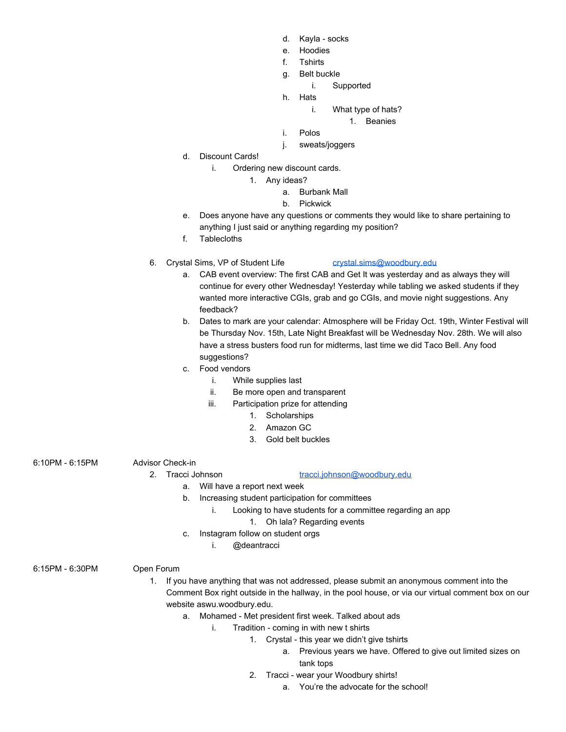- d. Kayla socks
- e. Hoodies
- f. Tshirts
- g. Belt buckle
	- i. Supported
- h. Hats
	- i. What type of hats?
		- 1. Beanies

i. Polos

- j. sweats/joggers
- d. Discount Cards!
	- i. Ordering new discount cards.
		- 1. Any ideas?
			- a. Burbank Mall
			- b. Pickwick
- e. Does anyone have any questions or comments they would like to share pertaining to anything I just said or anything regarding my position?
- f. Tablecloths
- 6. Crystal Sims, VP of Student Life [crystal.sims@woodbury.edu](mailto:crystal.sims@woodbury.edu)
	- a. CAB event overview: The first CAB and Get It was yesterday and as always they will continue for every other Wednesday! Yesterday while tabling we asked students if they wanted more interactive CGIs, grab and go CGIs, and movie night suggestions. Any feedback?
	- b. Dates to mark are your calendar: Atmosphere will be Friday Oct. 19th, Winter Festival will be Thursday Nov. 15th, Late Night Breakfast will be Wednesday Nov. 28th. We will also have a stress busters food run for midterms, last time we did Taco Bell. Any food suggestions?
	- c. Food vendors
		- i. While supplies last
		- ii. Be more open and transparent
		- iii. Participation prize for attending
			- 1. Scholarships
			- 2. Amazon GC
			- 3. Gold belt buckles

## 6:10PM - 6:15PM Advisor Check-in

## 2. Tracci Johnson [tracci.johnson@woodbury.edu](mailto:tracci.johnson@woodbury.edu)

- a. Will have a report next week
- b. Increasing student participation for committees
	- i. Looking to have students for a committee regarding an app
		- 1. Oh lala? Regarding events
- c. Instagram follow on student orgs
	- i. @deantracci

6:15PM - 6:30PM Open Forum

- 1. If you have anything that was not addressed, please submit an anonymous comment into the Comment Box right outside in the hallway, in the pool house, or via our virtual comment box on our website aswu.woodbury.edu.
	- a. Mohamed Met president first week. Talked about ads
		- i. Tradition coming in with new t shirts
			- 1. Crystal this year we didn't give tshirts
				- a. Previous years we have. Offered to give out limited sizes on tank tops
			- 2. Tracci wear your Woodbury shirts!
				- a. You're the advocate for the school!